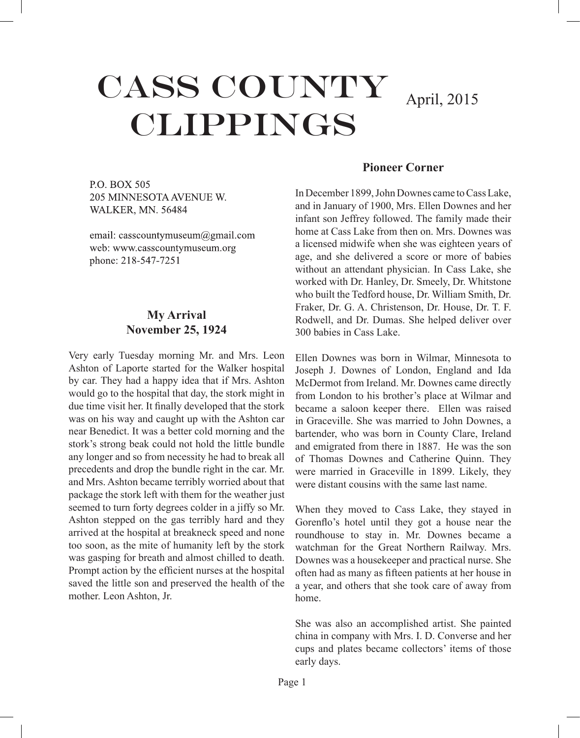# CASS COUNTY CLIPPINGS

April, 2015

P.O. BOX 505 205 MINNESOTA AVENUE W. **WALKER, MN. 56484** 

email: casscountymuseum@gmail.com web: www.casscountymuseum.org phone: 218-547-7251

# **My Arrival November 25, 1924**

Very early Tuesday morning Mr. and Mrs. Leon Ashton of Laporte started for the Walker hospital by car. They had a happy idea that if Mrs. Ashton would go to the hospital that day, the stork might in due time visit her. It finally developed that the stork was on his way and caught up with the Ashton car near Benedict. It was a better cold morning and the stork's strong beak could not hold the little bundle any longer and so from necessity he had to break all precedents and drop the bundle right in the car. Mr. and Mrs. Ashton became terribly worried about that package the stork left with them for the weather just seemed to turn forty degrees colder in a jiffy so Mr. Ashton stepped on the gas terribly hard and they arrived at the hospital at breakneck speed and none too soon, as the mite of humanity left by the stork was gasping for breath and almost chilled to death. Prompt action by the efficient nurses at the hospital saved the little son and preserved the health of the mother. Leon Ashton, Jr.

#### **Pioneer Corner**

In December 1899, John Downes came to Cass Lake, and in January of 1900, Mrs. Ellen Downes and her infant son Jeffrey followed. The family made their home at Cass Lake from then on. Mrs. Downes was a licensed midwife when she was eighteen years of age, and she delivered a score or more of babies without an attendant physician. In Cass Lake, she worked with Dr. Hanley, Dr. Smeely, Dr. Whitstone who built the Tedford house, Dr. William Smith, Dr. Fraker, Dr. G. A. Christenson, Dr. House, Dr. T. F. Rodwell, and Dr. Dumas. She helped deliver over 300 babies in Cass Lake.

Ellen Downes was born in Wilmar, Minnesota to Joseph J. Downes of London, England and Ida McDermot from Ireland. Mr. Downes came directly from London to his brother's place at Wilmar and became a saloon keeper there. Ellen was raised in Graceville. She was married to John Downes, a bartender, who was born in County Clare, Ireland and emigrated from there in 1887. He was the son of Thomas Downes and Catherine Quinn. They were married in Graceville in 1899. Likely, they were distant cousins with the same last name.

When they moved to Cass Lake, they stayed in Gorenflo's hotel until they got a house near the roundhouse to stay in. Mr. Downes became a watchman for the Great Northern Railway. Mrs. Downes was a housekeeper and practical nurse. She often had as many as fifteen patients at her house in a year, and others that she took care of away from home.

She was also an accomplished artist. She painted china in company with Mrs. I. D. Converse and her cups and plates became collectors' items of those early days.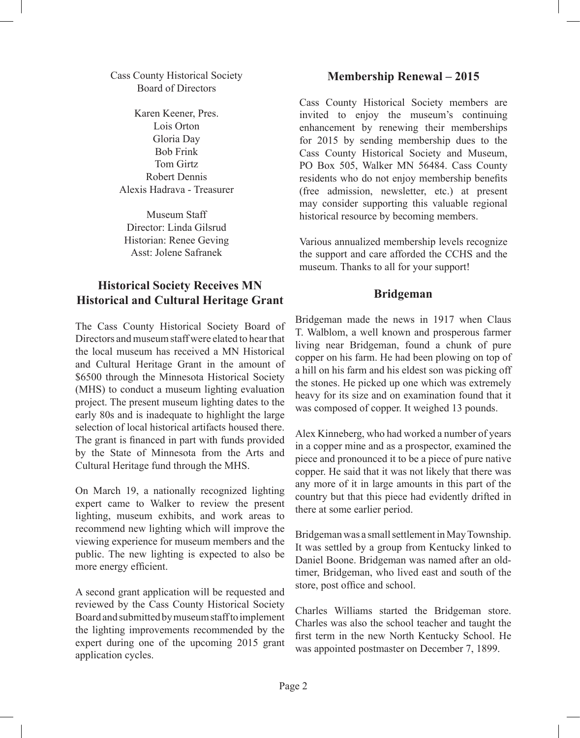Cass County Historical Society Board of Directors

Karen Keener, Pres. Lois Orton Gloria Day Bob Frink Tom Girtz Robert Dennis Alexis Hadrava - Treasurer

Museum Staff Director: Linda Gilsrud Historian: Renee Geving Asst: Jolene Safranek

# **Historical Society Receives MN Historical and Cultural Heritage Grant**

The Cass County Historical Society Board of Directors and museum staff were elated to hear that the local museum has received a MN Historical and Cultural Heritage Grant in the amount of \$6500 through the Minnesota Historical Society (MHS) to conduct a museum lighting evaluation project. The present museum lighting dates to the early 80s and is inadequate to highlight the large selection of local historical artifacts housed there. The grant is financed in part with funds provided by the State of Minnesota from the Arts and Cultural Heritage fund through the MHS.

On March 19, a nationally recognized lighting expert came to Walker to review the present lighting, museum exhibits, and work areas to recommend new lighting which will improve the viewing experience for museum members and the public. The new lighting is expected to also be more energy efficient.

A second grant application will be requested and reviewed by the Cass County Historical Society Board and submitted by museum staff to implement the lighting improvements recommended by the expert during one of the upcoming 2015 grant application cycles.

## **Membership Renewal – 2015**

Cass County Historical Society members are invited to enjoy the museum's continuing enhancement by renewing their memberships for 2015 by sending membership dues to the Cass County Historical Society and Museum, PO Box 505, Walker MN 56484. Cass County residents who do not enjoy membership benefits (free admission, newsletter, etc.) at present may consider supporting this valuable regional historical resource by becoming members.

Various annualized membership levels recognize the support and care afforded the CCHS and the museum. Thanks to all for your support!

#### **Bridgeman**

Bridgeman made the news in 1917 when Claus T. Walblom, a well known and prosperous farmer living near Bridgeman, found a chunk of pure copper on his farm. He had been plowing on top of a hill on his farm and his eldest son was picking off the stones. He picked up one which was extremely heavy for its size and on examination found that it was composed of copper. It weighed 13 pounds.

Alex Kinneberg, who had worked a number of years in a copper mine and as a prospector, examined the piece and pronounced it to be a piece of pure native copper. He said that it was not likely that there was any more of it in large amounts in this part of the country but that this piece had evidently drifted in there at some earlier period.

Bridgeman was a small settlement in May Township. It was settled by a group from Kentucky linked to Daniel Boone. Bridgeman was named after an oldtimer, Bridgeman, who lived east and south of the store, post office and school.

Charles Williams started the Bridgeman store. Charles was also the school teacher and taught the first term in the new North Kentucky School. He was appointed postmaster on December 7, 1899.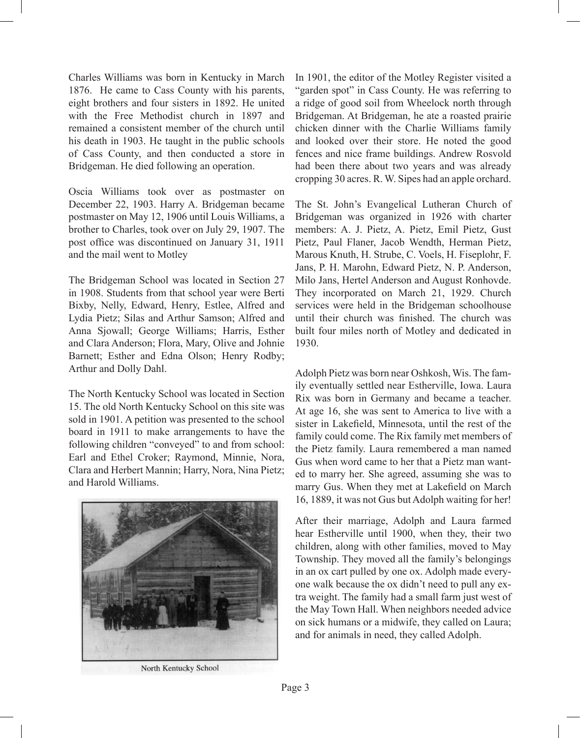Charles Williams was born in Kentucky in March 1876. He came to Cass County with his parents, eight brothers and four sisters in 1892. He united with the Free Methodist church in 1897 and remained a consistent member of the church until his death in 1903. He taught in the public schools of Cass County, and then conducted a store in Bridgeman. He died following an operation.

Oscia Williams took over as postmaster on December 22, 1903. Harry A. Bridgeman became postmaster on May 12, 1906 until Louis Williams, a brother to Charles, took over on July 29, 1907. The post office was discontinued on January 31, 1911 and the mail went to Motley

The Bridgeman School was located in Section 27 in 1908. Students from that school year were Berti Bixby, Nelly, Edward, Henry, Estlee, Alfred and Lydia Pietz; Silas and Arthur Samson; Alfred and Anna Sjowall; George Williams; Harris, Esther and Clara Anderson; Flora, Mary, Olive and Johnie Barnett; Esther and Edna Olson; Henry Rodby; Arthur and Dolly Dahl.

The North Kentucky School was located in Section 15. The old North Kentucky School on this site was sold in 1901. A petition was presented to the school board in 1911 to make arrangements to have the following children "conveyed" to and from school: Earl and Ethel Croker; Raymond, Minnie, Nora, Clara and Herbert Mannin; Harry, Nora, Nina Pietz; and Harold Williams.



North Kentucky School

In 1901, the editor of the Motley Register visited a "garden spot" in Cass County. He was referring to a ridge of good soil from Wheelock north through Bridgeman. At Bridgeman, he ate a roasted prairie chicken dinner with the Charlie Williams family and looked over their store. He noted the good fences and nice frame buildings. Andrew Rosvold had been there about two years and was already cropping 30 acres. R. W. Sipes had an apple orchard.

The St. John's Evangelical Lutheran Church of Bridgeman was organized in 1926 with charter members: A. J. Pietz, A. Pietz, Emil Pietz, Gust Pietz, Paul Flaner, Jacob Wendth, Herman Pietz, Marous Knuth, H. Strube, C. Voels, H. Fiseplohr, F. Jans, P. H. Marohn, Edward Pietz, N. P. Anderson, Milo Jans, Hertel Anderson and August Ronhovde. They incorporated on March 21, 1929. Church services were held in the Bridgeman schoolhouse until their church was finished. The church was built four miles north of Motley and dedicated in 1930.

Adolph Pietz was born near Oshkosh, Wis. The family eventually settled near Estherville, Iowa. Laura Rix was born in Germany and became a teacher. At age 16, she was sent to America to live with a sister in Lakefield, Minnesota, until the rest of the family could come. The Rix family met members of the Pietz family. Laura remembered a man named Gus when word came to her that a Pietz man wanted to marry her. She agreed, assuming she was to marry Gus. When they met at Lakefield on March 16, 1889, it was not Gus but Adolph waiting for her!

After their marriage, Adolph and Laura farmed hear Estherville until 1900, when they, their two children, along with other families, moved to May Township. They moved all the family's belongings in an ox cart pulled by one ox. Adolph made everyone walk because the ox didn't need to pull any extra weight. The family had a small farm just west of the May Town Hall. When neighbors needed advice on sick humans or a midwife, they called on Laura; and for animals in need, they called Adolph.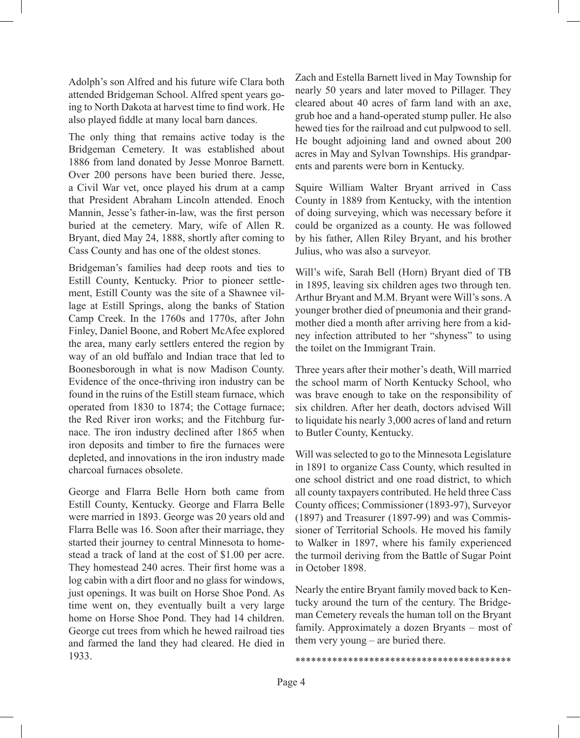Adolph's son Alfred and his future wife Clara both attended Bridgeman School. Alfred spent years going to North Dakota at harvest time to find work. He also played fiddle at many local barn dances.

The only thing that remains active today is the Bridgeman Cemetery. It was established about 1886 from land donated by Jesse Monroe Barnett. Over 200 persons have been buried there. Jesse, a Civil War vet, once played his drum at a camp that President Abraham Lincoln attended. Enoch Mannin, Jesse's father-in-law, was the first person buried at the cemetery. Mary, wife of Allen R. Bryant, died May 24, 1888, shortly after coming to Cass County and has one of the oldest stones.

Bridgeman's families had deep roots and ties to Estill County, Kentucky. Prior to pioneer settlement, Estill County was the site of a Shawnee village at Estill Springs, along the banks of Station Camp Creek. In the 1760s and 1770s, after John Finley, Daniel Boone, and Robert McAfee explored the area, many early settlers entered the region by way of an old buffalo and Indian trace that led to Boonesborough in what is now Madison County. Evidence of the once-thriving iron industry can be found in the ruins of the Estill steam furnace, which operated from 1830 to 1874; the Cottage furnace; the Red River iron works; and the Fitchburg furnace. The iron industry declined after 1865 when iron deposits and timber to fire the furnaces were depleted, and innovations in the iron industry made charcoal furnaces obsolete.

George and Flarra Belle Horn both came from Estill County, Kentucky. George and Flarra Belle were married in 1893. George was 20 years old and Flarra Belle was 16. Soon after their marriage, they started their journey to central Minnesota to homestead a track of land at the cost of \$1.00 per acre. They homestead 240 acres. Their first home was a log cabin with a dirt floor and no glass for windows, just openings. It was built on Horse Shoe Pond. As time went on, they eventually built a very large home on Horse Shoe Pond. They had 14 children. George cut trees from which he hewed railroad ties and farmed the land they had cleared. He died in 1933.

Zach and Estella Barnett lived in May Township for nearly 50 years and later moved to Pillager. They cleared about 40 acres of farm land with an axe, grub hoe and a hand-operated stump puller. He also hewed ties for the railroad and cut pulpwood to sell. He bought adjoining land and owned about 200 acres in May and Sylvan Townships. His grandparents and parents were born in Kentucky.

Squire William Walter Bryant arrived in Cass County in 1889 from Kentucky, with the intention of doing surveying, which was necessary before it could be organized as a county. He was followed by his father, Allen Riley Bryant, and his brother Julius, who was also a surveyor.

Will's wife, Sarah Bell (Horn) Bryant died of TB in 1895, leaving six children ages two through ten. Arthur Bryant and M.M. Bryant were Will's sons. A younger brother died of pneumonia and their grandmother died a month after arriving here from a kidney infection attributed to her "shyness" to using the toilet on the Immigrant Train.

Three years after their mother's death, Will married the school marm of North Kentucky School, who was brave enough to take on the responsibility of six children. After her death, doctors advised Will to liquidate his nearly 3,000 acres of land and return to Butler County, Kentucky.

Will was selected to go to the Minnesota Legislature in 1891 to organize Cass County, which resulted in one school district and one road district, to which all county taxpayers contributed. He held three Cass County offices; Commissioner (1893-97), Surveyor (1897) and Treasurer (1897-99) and was Commissioner of Territorial Schools. He moved his family to Walker in 1897, where his family experienced the turmoil deriving from the Battle of Sugar Point in October 1898.

Nearly the entire Bryant family moved back to Kentucky around the turn of the century. The Bridgeman Cemetery reveals the human toll on the Bryant family. Approximately a dozen Bryants – most of them very young – are buried there.

\*\*\*\*\*\*\*\*\*\*\*\*\*\*\*\*\*\*\*\*\*\*\*\*\*\*\*\*\*\*\*\*\*\*\*\*\*\*\*\*\*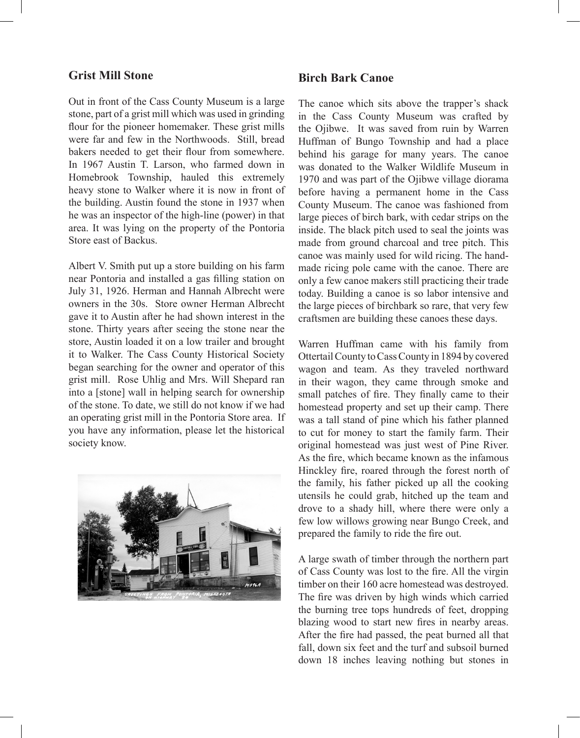#### **Grist Mill Stone**

Out in front of the Cass County Museum is a large stone, part of a grist mill which was used in grinding flour for the pioneer homemaker. These grist mills were far and few in the Northwoods. Still, bread bakers needed to get their flour from somewhere. In 1967 Austin T. Larson, who farmed down in Homebrook Township, hauled this extremely heavy stone to Walker where it is now in front of the building. Austin found the stone in 1937 when he was an inspector of the high-line (power) in that area. It was lying on the property of the Pontoria Store east of Backus.

Albert V. Smith put up a store building on his farm near Pontoria and installed a gas filling station on July 31, 1926. Herman and Hannah Albrecht were owners in the 30s. Store owner Herman Albrecht gave it to Austin after he had shown interest in the stone. Thirty years after seeing the stone near the store, Austin loaded it on a low trailer and brought it to Walker. The Cass County Historical Society began searching for the owner and operator of this grist mill. Rose Uhlig and Mrs. Will Shepard ran into a [stone] wall in helping search for ownership of the stone. To date, we still do not know if we had an operating grist mill in the Pontoria Store area. If you have any information, please let the historical society know.



### **Birch Bark Canoe**

The canoe which sits above the trapper's shack in the Cass County Museum was crafted by the Ojibwe. It was saved from ruin by Warren Huffman of Bungo Township and had a place behind his garage for many years. The canoe was donated to the Walker Wildlife Museum in 1970 and was part of the Ojibwe village diorama before having a permanent home in the Cass County Museum. The canoe was fashioned from large pieces of birch bark, with cedar strips on the inside. The black pitch used to seal the joints was made from ground charcoal and tree pitch. This canoe was mainly used for wild ricing. The handmade ricing pole came with the canoe. There are only a few canoe makers still practicing their trade today. Building a canoe is so labor intensive and the large pieces of birchbark so rare, that very few craftsmen are building these canoes these days.

Warren Huffman came with his family from Ottertail County to Cass County in 1894 by covered wagon and team. As they traveled northward in their wagon, they came through smoke and small patches of fire. They finally came to their homestead property and set up their camp. There was a tall stand of pine which his father planned to cut for money to start the family farm. Their original homestead was just west of Pine River. As the fire, which became known as the infamous Hinckley fire, roared through the forest north of the family, his father picked up all the cooking utensils he could grab, hitched up the team and drove to a shady hill, where there were only a few low willows growing near Bungo Creek, and prepared the family to ride the fire out.

A large swath of timber through the northern part of Cass County was lost to the fire. All the virgin timber on their 160 acre homestead was destroyed. The fire was driven by high winds which carried the burning tree tops hundreds of feet, dropping blazing wood to start new fires in nearby areas. After the fire had passed, the peat burned all that fall, down six feet and the turf and subsoil burned down 18 inches leaving nothing but stones in